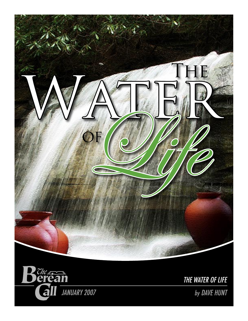



THE WATER OF LIFE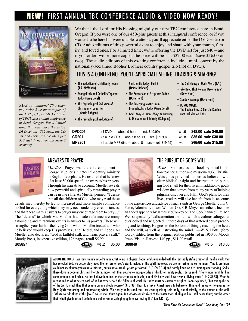# FIRST ANNUAL TBC CONFERENCE AUDIO & VIDEO NOW READY!



*SAVE an additional 20% when you order 2 or more copies of the DVD, CD, or MP3 editions of TBC's first annual conference in Bend, Oregon. For a limited time, that will make the 4-disc DVD set only \$32 each, the CD set \$24 each, and the MP3 just \$12 each (when you purchase 2 or more).*

We thank the Lord for His blessing mightily our first TBC conference here in Bend, Oregon. If you were one of our 450-plus guests at this inaugural conference, or if you wanted to be here but were unable to attend, you'll appreciate either the DVD-video or CD-Audio editions of this powerful event to enjoy and share with your church, family, and loved ones. For a limited time, we're offering the DVD set for just \$40—and if you order two or more copies, the price will be just \$32.00 each (save \$16.00 on two)! The audio editions of this exciting conference include a mini-concert by the nationally-acclaimed Booher Brothers country gospel trio (not on DVD).

## THIS IS A CONFERENCE YOU'LL APPRECIATE SEEING, HEARING & SHARING!

- The Seduction of Christianity Today (T.A. McMahon)
- Evangelicals and Catholics Together Today (Greg Durel)
- The Psychological Seduction of Christianity Today Part 1 (Martin Bobgan)
- The Psychological Seduction of
- (Deidre Bobgan) • The Subversion of Scriptures Today (Dave Hunt)

Christianity Today Part 2

- The Emerging Mysticism in Evangelicalism Today (Greg Durel)
- God's Way vs. Man's Way: Ministering to One Another Biblically (Bobgans)
- The Sufficiency of God's Word (T.A.)
- •Take Heed That No Man Deceive You" (Dave Hunt)
- Sunday Message (Dave Hunt)
- BONUS MUSIC: The Booher Bros. & Christie Romine (not included on DVD)

| <b>DVD201</b><br>CD201<br>MP3201 | $(4 \text{ DVDs} - \text{about } 9 \text{ hours} - \text{ret. } $49.99)$<br>$(7 \text{ audio}$ CDs $-$ about 8 hours $-$ ret. \$39.99)<br>$(1$ audio MP3 disc $-$ about 8 hours $-$ ret. \$19.99) | wt .5<br>wt .1 | \$48.00 sale \$40.00<br>wt.8 \$35.00 sale \$30.00<br>\$ <del>18.00</del> sale \$15.00 |
|----------------------------------|---------------------------------------------------------------------------------------------------------------------------------------------------------------------------------------------------|----------------|---------------------------------------------------------------------------------------|
|                                  |                                                                                                                                                                                                   |                |                                                                                       |



## ANSWERS TO PRAYER

*Mueller*—Prayer was the vital component of George Mueller's nineteenth-century ministry to England's orphans. He testified that he knew of at least 50,000 specific answers to his prayers. Through his narrative account, Mueller reveals how powerful and spiritually rewarding prayer can be in one's life. As Mueller penned, "I desire that all the children of God who may read these

details may thereby be led to increased and more simple confidence in God for everything which they may need under any circumstances, and that these many answers to prayer may encourage them to pray...." The "details" to which Mr. Mueller has made reference are many astounding and miraculous events in answer to his prayers. These will strengthen your faith in the living God, whom Mueller trusted and who he believed would keep His promises...and He did, and still does. As Mueller also declares, "God is faithful still, and hears prayers still." Moody Press, inexpensive edition, 126 pages, retail \$5.99.

**B05657** wt .2 **\$5.00** 



## THE PURSUIT OF GOD'S WILL

*Weiss*—For decades, this book by noted Christian teacher, author, and missionary, G. Christian Weiss, has provided numerous believers with clear biblical insight and instruction on pursuing God's will for their lives. In addition to godly wisdom that comes from many years of helping pilgrims discover and fulfill God's plans for their lives, readers will also benefit from its accounts

of the experiences and advice of such saints as George Mueller, John G. Paton, Adoniram Judson, William Orr, F. B. Meyer, and others. Includes an added appendix by James McConkey on The God-Planned Life. Mr. Weiss repeatedly "calls attention to truths which are almost altogether overlooked and neglected in these days of that watered down preaching and teaching. He goes to the bottom of things, reaching the heart and the will, as well as instructing the mind." —W. S. Hottel (foreword). Edited from the original edition published in 1950 by Moody Press. Vision-Harvest, 140 pp., \$11.00 retail.





ABOUT THE COVER: As spirits made in God's image, yet living in physical bodies and surrounded with the spiritually stifling materialism of a world that has rejected God, we desperately need the nurture of God's Word. Instead of the spirit, however, we are nurturing the carnal man ("And I, brethren, could not speak unto you as unto spiritual, but as unto carnal...ye are yet carnal..." - 1 Cor 3:1-3) and hardly know we are thirsting and starving. Sadly, these days in popular Christian literature, more froth than substance masquerades as drink for thirsty souls.... Jesus said, "If any man thirst, let him come unto me, and drink. He that believeth on me, as the scripture hath said, out of his belly shall flow rivers of living water" (Jn 7:37,38). What He meant and to what extent each of us has experienced the fullness of which He spoke must be carefully weighed. John explained, "But this spake he of the Spirit, which they that believe on him should receive" (Jn 7:39). Thus, to drink of Christ means to believe on Him, and the water He gives is the Holy Spirit comforting and empowering within. We clearly understand that Jesus was speaking spiritually, not physically, to the woman at the well: "Whosoever drinketh of this [well] water shall thirst again: But whosoever drinketh of the water that I shall give him shall never thirst; but the water that I shall give him shall be in him a well of water springing up into everlasting life" (Jn 4:13-15).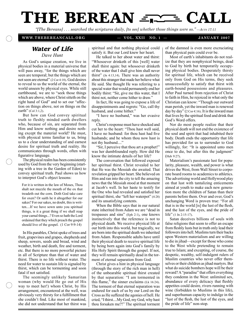# THE BEREAN =

*"[The Bereans] . . . searched the scriptures daily, [to see] whether those things were so." —ACTS 17:11*

#### **WWW.THEBEREANCALL.ORG — VOL. XXII NO. 1 — JANUARY 2007**

### Water of Life *Dave Hunt*

As God's unique creation, we live in physical bodies in a material universe that will pass away, "for the things which are seen are temporal; but the things which are not seen are eternal" (2 Cor 4:18). God desires to reveal to us the world of the eternal, the world unseen by physical eyes. While still earthbound, we are to "seek those things which are above, where Christ sitteth on the right hand of God" and to set our "affection on things above, not on things on the earth" (Col 3:1,2).

But how can God convey spiritual truth to fleshly minded earth dwellers who, because of sin, are separated from Him and know nothing and desire nothing except the material world? He must, with physical terms familiar to us, bring us to a clear understanding of and earnest desire for spiritual truth and reality. He communicates through words, often with figurative language.

The physical realm has been consistently used by God from the very beginning (starting with a tree in the Garden of Eden) to convey spiritual truth. Paul shows us how to interpret God's object lessons:

For it is written in the law of Moses, Thou shalt not muzzle the mouth of the ox that treadeth out the corn. Doth God take care for oxen? Or saith he it altogether for our sakes? For our sakes, no doubt, this is written....If we have sown unto you spiritual things, is it a great thing if we shall reap your carnal things...? Even so hath the Lord ordained that they which preach the gospel should live of the gospel. (1 Cor 9:9-14)

In His parables, Christ spoke of trees and fruit, grapevines and grapes, shepherds and sheep, sowers, seeds and bread, wind and weather, birth and death, fire and torment, etc. But there is no more powerful picture in all of Scripture than that of water and thirst. There is no life without water. The need for water to sustain life is signaled by thirst, which can be tormenting and soon fatal if not satisfied.

The seemingly unlikely Samaritan woman (why would He go out of His way to meet her!) whom Christ, by His arrangement, encountered at the well, was obviously very thirsty for a fulfillment that she couldn't find. Like most of mankind, she did not understand that her thirst was spiritual and that nothing physical could satisfy it. But our Lord knew her heart.

He talked to her about water and thirst: "Whosoever drinketh of this [well] water shall thirst again: but whosoever drinketh of the water that I shall give him shall never thirst" (Jn 4:13,14). There was an authority about this stranger that made her believe what He said. She thought He was referring to a special water that would permanently end her bodily thirst: "Sir, give me this water, that I thirst not, neither come hither to draw."

In fact, He was going to expose a life of disappointments and regrets: "Go, call thy husband, and come hither."

"I have no husband," was her evasive reply.

Christ's response must have shocked and cut her to the heart: "Thou hast well said, I have no husband: for thou hast had five husbands; and he whom thou now hast is not thy husband...."

"Sir, I perceive that thou art a prophet!" was her dumbfounded reply. How did He know the intimate details of her life?

The conversation that followed exposed her spiritual thirst. Christ revealed to her that He was the Messiah she awaited. That revelation gripped her heart. She believed on Him and ran into the city to tell the amazing news that the Messiah stood at that moment at Jacob's well. In her haste to testify for the One who had revealed and satisfied her spiritual thirst, she "left her waterpot" (4:28) and its unsatisfying contents.

When the Bible says that in our natural state inherited from Adam we are "dead in trespasses and sins" (Eph 2:1), one knows instinctively that the reference is not to physical death. We receive physical life at our birth into this world, but tragically, we are born into the spiritual death we inherited from Adam. Responsible adults have until their physical death to receive spiritual life by being born again into God's family by His Holy Spirit through the gospel. If not, they will remain spiritually dead in the torment of eternal separation from God.

Christ gives a hint in physical language (through the story of the rich man in hell) of the unbearable spiritual thirst created by that separation: "I am tormented in this flame," the sinner exclaims (Lk 16:24). The torment of that eternal separation was endured for each of us by our Lord on the Cross as He suffered the agonies of hell. He cried, "I thirst....My God, my God, why hast thou forsaken me?!" The spiritual torment of the damned is even more excruciating than physical pain could ever be.

Most of earth's inhabitants do not realize that they are nonphysical beings, dead to God by birth but temporarily occupying physical bodies. Desperately thirsty for spiritual life, which can be received only from God on His terms, they seek unsuccessfully to satisfy that thirst with earth-bound possessions and pleasures. After Paul turned from rejection of Christ to faith in Him, he rejoiced in what only the Christian can know: "Though our outward man perish, yet the inward man is renewed day by day" (2 Cor 4:16). It is the inward man that lives by the spiritual food and drink that God's Word offers.

Nor do most people realize that their physical death will not end the existence of the soul and spirit that had inhabited their body. Death ends the opportunity that life has provided for us to surrender to God willingly, for: "It is appointed unto men once to die, but after this the judgment" (Heb 9:27).

Materialism's passionate lust for popularity, pleasure, wealth, and power is what drives the West, from Wall Street to corporate board rooms to academics to athletics. The advertising world and Hollywood play on that lust with tantalizing enticements aimed at youth to make each new generation more the children of Satan than their parents before them. Over and over, God's unchanging Word is proven true: "For all that is in the world [is] the lust of the flesh, and the lust of the eyes, and the pride of life" (1 Jn 2:15-17).

Satan deceives billions of souls with false religions that seem to offer an escape from fleshly lusts but in truth only lead their followers into hell. Muslims turn their backs upon Western materialism and are willing to die in jihad—except for those who come to the West while pretending to remain true to Islam; and excepting, of course, the despotic, wealthy, self-indulgent rulers of Muslim countries who never offer themselves or their children as jihad martyrs. But what do suicide bombers hope will be their reward? A "paradise" that offers everything they condemn in the West: unlimited sex, abundance of every delicacy that fleshly appetites could desire, rivers running with wine (forbidden to Muslims in this life), and superhuman capacity to indulge in the "lust of the flesh, the lust of the eyes, and the pride of life" non-stop.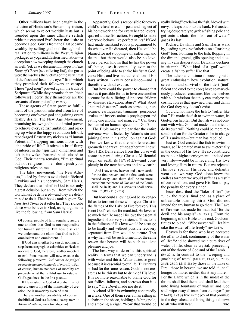*January 2007* THE BEREAN CALL

Other millions have been caught in the delusion of Hinduism's Eastern mysticism, which seems to reject worldly lusts but is founded upon the same ultimate selfish pride that captured Eve's heart: the desire to become a god. Gurus from the East became wealthy by selling godhood through selfrealization to millions in the West, religion packaged as yoga and Eastern meditation—a deception now sweeping through the church as well. Yet, as we document in *Yoga and the Body of Christ* (see offering list), the gurus were themselves the victims of the very "lust of the flesh and lust of the eyes" from which they promised their followers an escape. These "god-men" proved again the truth of Scripture: "While they promise them [their followers] liberty, they themselves are the servants of corruption" (2 Pt 2:19).

These agents of Satan promise fulfillment of the passion inherited from Eve of becoming one's own god and gaining every fleshly desire. The New Age Movement, promising its own godhood of mind power to achieve every selfish ambition, and picking up where the hippy revolution left off, repackaged Eastern mysticism as "Human Potential," trapping millions more with "the pride of life." It stirred a brief flurry of interest in the "spiritual" dimension and left in its wake shattered souls closed to God. Their mantra remains, "I'm spiritual but not religious"—i.e., don't push your religious rules on me.

The latest movement, "the New Atheists," is led by famous evolutionist Richard Dawkins and his understudy, Sam Harris. They declare that belief in God is not only a great delusion but an evil from which the world must be delivered—and they are determined to do it. Their books rank high on *The New York Times* best seller list. They ridicule those who believe in God, using arguments like the following, from Sam Harris:

Of course, people of faith regularly assure one another that God is not responsible for human suffering. But how else can we understand the claim that God is both omniscient and omnipotent...?

If God exists, either He can do nothing to stop the most egregious calamities, or He does not care to. God, therefore, is either impotent or evil. Pious readers will now execute the following pirouette: *God cannot be judged by merely human standards of morality*. But, of course, human standards of morality are precisely what the faithful use to establish God's goodness in the first place....

If He exists, the God of Abraham is not merely unworthy of the immensity of creation; he is unworthy even of man.

There is another possibility, of course... the biblical God is a fiction. (Excerpt from *An Atheist Manifesto*, www.truthdig.com)

Apparently, God is responsible for every child's refusal to eat his peas and neglect of his homework and for every heated lovers' quarrel and selfish action. He ought to make everyone behave like perfect saints? If God had made mankind robots programmed to do whatever He dictated, then He could be blamed for not stopping evil, suffering, and death—but there would also be no love. Every person knows that he has the power of choice, uses it continually, even to the point of being able to shake his fist at God, curse Him, and live in total rebellion of His laws written in every conscience—and is therefore without excuse.

But how could the power to choose that makes it possible for us to love one another account for the suffering of innocent children by disease, starvation, abuse? What about "natural disasters" such as tornados, hurricanes, earthquakes, tsunamis, poisonous snakes and insects, animals preying upon and eating one another and man, etc.? Can these be blamed on human rejection of God?

The Bible makes it clear that the entire universe was affected by Adam's sin and joining Satan in his rebellion against God: "For we know that the whole creation groaneth and travaileth together until now" (Rom 8:22). Deliverance from this curse will come in part during Christ's Millennial reign on earth (Is 11:7; 65:25)—and completely in the new heavens and new earth:

And I saw a new heaven and a new earth: for the first heaven and the first earth were passed away...and there shall be no more curse: but the throne of God and of the Lamb shall be in it; and his servants shall serve him...." (Rv 21:1; 22:3)

But how could a loving God be so vengeful as to torment those who reject Christ in the flames of the Lake of Fire forever? This is not God's choice for mankind. He loves us so much that He made His love the essential ingredient of our very existence. Thus, to be in the fullness of His love would be ecstasy; to be finally and without possible recovery separated from Him would be torture. That is why hell will be such torment for the same reason that heaven will be such exquisite pleasure and joy.

The best way to describe this spiritual reality in terms that we can understand is with water and thirst. Water tastes so good because it is essential to our life. Thirst hurts so bad for the same reason. God did not create us to be thirsty but to drink of His love. It is no more reasonable to blame God for our follies, failures, and sorrows than it is to say, "The Devil made me do it."

A school of fish is swimming contentedly in a lake. One of them sees a man sitting in a chair on the shore, holding a fishing pole, and smoking a cigar. "Now that would be really living!" exclaims the fish. Moved with envy, it leaps out onto the bank. Exhausted, trying desperately to grab a fishing pole and get onto a chair, the "fish-out-of-water" gasps its last.

Richard Dawkins and Sam Harris walk by, leading a group of atheists on a "trashing God" tour. Pointing to the fish, flopping in the dirt and gravel, gills opening and closing in vain desperation, Dawkins declares in triumph, "What kind of a 'god' would create a fish to suffer like that!"

The atheists continue discussing with great enthusiasm how evolution, natural selection, and survival of the fittest (inefficient and cruel to the core) have so marvelously produced creatures like themselves with such wisdom that they can analyze the cosmic forces that spawned them and damn the God they say doesn't exist.

God did not make the fish to "suffer like that." He made the fish to swim in water, its God-given habitat. But the fish was not content with what God had made it and tried to do its own will. Nothing could be more reasonable than for the Creator to be in charge of His universe—but man has rebelled.

Just as God created the fish to swim in water, so He created man to swim eternally in the ocean of His love. He so constituted us that our highest enjoyment—indeed our very life—would be in receiving His love and loving Him in return. But we rejected His love, spat in His face, and defiantly went our own way. God alone knew the endless torment we would suffer as a result of our rebellion, and gave His Son to pay the penalty for every sinner

Jesus described the "lake of fire" (Rv 20:15), the rebels' final end, as a place of unbearable burning thirst. God did not intend for any human to go there. The Lake of Fire was not made for man but "for the devil and his angels" (Mt 25:41). From the beginning of the Bible to the end, God continues to plead, "Whosoever will, let him take the water of life freely" (Rv 22:17).

Heaven is for those who have accepted the offer to drink continuously of the water of life: "And he showed me a pure river of water of life, clear as crystal, proceeding out of the throne of God and of the Lamb..." (Rv 22:1). In contrast to the "weeping and gnashing of teeth" (Mt 8:12; 13:42, 50; 22:13; 24:51; 25:30; Lk 13:28) by those in the Lake of Fire, those in heaven, we are told, "...shall hunger no more, neither thirst any more.... For the Lamb which is in the midst of the throne shall feed them, and shall lead them unto living fountains of waters: and God shall wipe away all tears from their eyes" (Rv 7:16-17). Let us live in the joy of that promise in the days ahead and bring this good news to all who will hear. **TBC**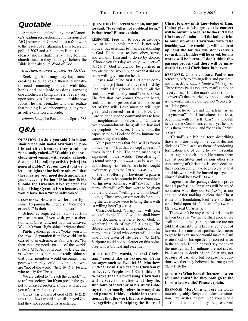## **Quotable**

A major national poll...by one of America's leading researchers...commissioned by AiG [Answers in Genesis]...as a follow-up to the results of an alarming Barna Research poll of 2002 and a Southern Baptist poll... clearly shows that...many have left the church because they no longer believe the Bible is the absolute Word of God....

*Ken Ham*, Answers Update, *Vol 13:11:2*

Seeking after imaginary happiness, creating to ourselves a thousand unnatural needs, amusing our hearts with false hopes and insatiable passions, envying one another, we bring distress of every sort upon ourselves. Let any man...consider how foolish he has been...he will then realize that nothing is so unbecoming in any man as self-exaltation and pride.

*William Law*, The Power of the Spirit, *145*

## **Q&A**

**QUESTION: In July you said Christians should not join non-Christians in prolife activities because they would be "unequally yoked...." Wouldn't that preclude involvement with secular schools, Scouts, 4-H [and]any activity [with] the general public? Yet our Lord told us to let "our lights shine before others," that they may see your good deeds and glorify your heavenly Father" (Matthew 5:16). Should the Israelites have rejected the help of King Cyrus in Ezra because they would have been "unequally yoked"?**

**RESPONSE:** How can we let "our light shine" by joining the ungodly in their moral crusades? Is their light shining too?

School is required by law—abortion protests are not. If you wish, protest abortion with Christians, not with the unsaved. Wouldn't your "light shine" brighter then?

Public gatherings hardly "yoke" you with the crowd. Separation from the world can be carried to an extreme, as Paul warned, "for then must ye needs go out of the world" (1 Cor 5:9,10). As for scouts, 4-H, etc., that is where one's light could really shine so that other members would encounter their peers whom they could look up to but who are "not of the world" (Jn 15:19; 17:14-16) and who testify for Christ.

We are called to "preach the gospel," not to reform society. But if you preach the gospel to unsaved protesters, they will accuse you of disrupting unity.

Cyrus was chosen of God (2 Chr 36:22,23; Ezra 1:1-8). Jews would have disobeyed God had they not accepted his assistance.

#### **QUESTION: In a recent sermon, our pastor said, "Free will is not a biblical term." Is that true? Please explain.**

**RESPONSE**: Free will to obey or disobey, love or hate, submit or rebel, is not only biblical but essential to man's relationship to God. He calls us to love, obey, serve, and worship Him and to do so by choice: "Choose you this day whom ye will serve" (Jos 24:15). God would not be glorified in any obedience, worship, or love that did not come willingly from the heart.

Jesus said, "The first and great commandment [is] thou shalt love the Lord thy God, with all thy heart, and with all thy soul, and with all thy mind" (Mt 22:37,38). The fact that love comes from the heart, soul, and mind proves that it must be an act of free will. Love must be willingly given and received—or it isn't love. Our Lord said the second command was to love our neighbors as ourselves and "On these two commandments hang all the law and the prophets" (Mt 22:40). Thus, without the capacity to love God and fellow humans we cannot obey the Bible.

Your pastor says that free will is "not a biblical term"? But that concept appears 17 times in the Bible! The same meaning is expressed in other words. "Free offerings" is found twice  $(Ex\,36:3; Am\,4:5)$ , as is "a voluntary offering" (Lv 7:16). All are to be brought "voluntarily unto the LORD" (Ezk 46:12).

The first offering in Leviticus (a pattern for all) was to be brought by the worshiper "of his own voluntary will" (Lv 1:3,4). The many "freewill" offerings were to be given by the individual "willingly with his heart" (Ex 25:2). Those who gave materials for building the tabernacle were to bring them with "a willing heart" (Ex 35:5).

Christ declared: "If any man will [i.e., wills to] do his [God's] will, he shall know of the doctrine, whether it be of God, or whether I speak of myself" (Jn 7:17). The Bible ends with an offer it repeats or implies many times. "And whosoever will, let him take of the water of life freely" (Rv 22:17). Scripture could not be clearer on this point. Free will is biblical and essential.

**QUESTION: The words, "carnal Christian," sound like an oxymoron. From passages such as Ezekiel 33, Matthew 7:19-23, I can't see "carnal Christians" in heaven. People use 1 Corinthians 3 to prove that all professing Christians will be saved no matter what they do. But John MacArthur in his study Bible says this primarily refers to evangelists and pastors. I think a viable interpretation...is that the work they are doing is... evangelizing and helping the Body of**  **Christ to grow in its knowledge of Him. If they give a false gospel, the convert will be burnt up because he doesn't have Christ as a foundation. If the builder tries to build up other Christians with false teachings...those teachings will be burnt up...and the builder will not receive a reward. The builder will be saved, but his works will be burnt....I don't think this passage proves that there will be unrewarded carnal Christians in heaven.**

**RESPONSE**: On the contrary, Paul is not referring *only* to "evangelists and pastors," nor does *MacArthur's Study Bible* say so. Three times Paul says "any man" and once "every man." It is the man's works (not his "converts") that are tried by fire (v. 13) and it is the works that are burned, not "converts" to a false gospel.

You believe "carnal Christian" is an "oxymoron"? Paul introduces the idea, beginning with himself (Rom 7:14). Though he calls the Corinthians carnal, yet he also calls them "brethren" and "babes in Christ" (1 Cor 3:1-4).

"Carnal" is a biblical term describing those who are living in "envy, strife, and divisions." Paul accuses them of condoning fornication and of going to law in secular courts against each other. He warns them against prostitutes and various other sins unbecoming of Christians. He even declares that a person could have been so carnal that all of his works will be burned up—yet "he himself shall be saved" (1 Cor 3:15).

I agree that this passage doesn't prove that all professing Christians will be saved no matter what they do. *Professing* is not enough. After making it clear that Christ is the only foundation, Paul refers to those who "build upon this foundation" (1 Cor 3:10-12)—i.e., real Christians.

There won't be any carnal Christians in heaven because "when he shall appear, we shall be like him" (1 Jn 3:2). But we are not told that carnality will keep anyone out of heaven. If one must live a perfect life in order to get to heaven, no one would make it. Paul wrote most of his epistles to correct error in the church. But he doesn't say that even the most carnal Corinthians are not saved. Paul stands in doubt of the Galatians, not because of carnality but because he questions whether they believed the true gospel (Gal 4:11,19,20).

#### **QUESTION: What is the difference between soul and spirit? Do they both go to the Lord when we die? Please explain.**

**RESPONSE**: Most Christians use the words interchangeably. Scripture makes a distinction. Paul writes, "I pray God your whole spirit and soul and body be preserved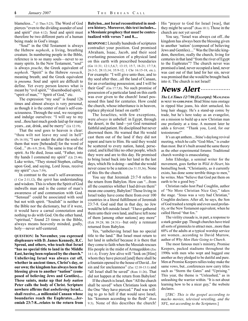blameless..." (1 Thes 5:23). The Word of God pierces "even to the dividing asunder of soul and spirit" (Heb 4:12). Soul and spirit must therefore be two different parts of a human being made in God's image.

"Soul" in the Old Testament is always the Hebrew *nephesh*, a living, breathing creature. In numbering people in the Bible, reference is to so many souls—never to so many spirits. In the New Testament, "soul" is always *psuche*, the Greek equivalent of *nephesh*. "Spirit" is the Hebrew *ruwach*, meaning breath; and the Greek equivalent is *pneuma.* Soul and spirit are difficult to define. Yet every person knows what is meant by "evil spirit," "disembodied spirit," "spirit of man," " Spirit of God," etc.

The expression "my soul" is found 126 times and almost always is very personal, as though it is the center of man's self-consciousness. Through the soul, we recognize and indulge ourselves: "I will say to my soul...thou hast much goods laid up for many years...eat, drink, and be merry" (Lk 12:19).

That the soul goes to heaven is clear: "thou wilt not leave my soul in hell" (Ps 16:10); "I saw under the altar the souls of them that were [beheaded] for the word of God..." (Rv 6:9; 20:4). The same is true of the spirit. As He died, Jesus said, "Father, into thy hands I commend my spirit" (Lk 23:46). Luke writes, "They stoned Stephen, calling upon God, and saying, Lord Jesus, receive my spirit" (Acts 7:59).

In contrast to the soul's self-awareness (1 Cor 2:11,12), the *spirit* has understanding and wisdom. This is where the Spirit of God indwells man and is the center of man's awareness of and communion with God. "Sensual" could be associated with soul but not with spirit. "Soulish" is neither in the Bible nor the dictionary, but if it were, it would have a carnal connotation and nothing to do with God. On the other hand, "spiritual," found 23 times in the Bible, always means heavenly minded, godly, holy—never self-centered.

**QUESTION: In November, you expressed displeasure with D. James Kennedy, R.C. Sproul, and others, who teach that Israel "has no special title to land in the Middle East, having been replaced by the church." Unbelieving Israel was always cut off, whether in ancient times, Christ's day, or our own; the kingdom has always been the blessing given to another "nation" (composed of believing Jews and Gentiles).... These saints, make up that** *holy nation* **Peter calls the body of Christ. Scripture nowhere affirms that** *unbelieving* **Israel... shall receive...a millennial Canaan whose boundaries reach the Euphrates....Jeremiah 23:7-8...relates to the return from** 

#### **Babylon...not Israel reconstituted in modern history. Moreover, this text includes... a Messianic prophecy that must be contextualized with verses 7 and 8....**

**RESPONSE:** Literally hundreds of scriptures contradict your position. God promised Abraham, Isaac, Jacob, and their seed everlasting possession of a physical land on this earth with prescribed boundaries (Gn 11:31; 12:1,5,6,7; 13:15; 15:7, 18-21; 17:7,8; 26:3-5; 28:13,14; 35:9-12; 1 Chr 16:15-18, etc.). For example: "I will give unto thee, and to thy seed after thee...all the land of Canaan, for an everlasting possession; and I will be their God" (Gn 17:7,8). No such promise of possession of a particular land on this earth was ever given to the church! Israel possessed this land for centuries. How could the church, whose inheritance is in heaven, replace physical Israel on earth?

The Israelites, with few exceptions, were *always* in unbelief: in Egypt, through the desert, in the land—yet God remained faithful and patient. He disciplined but never disowned them. He warned that He would cast them out of the land if they did not repent and turn to Him. He said they would be scattered to every nation, hated, persecuted, and killed like no other people, which they were and are to this day. He promised to bring Israel back into her land in the last days, which He is doing—and that she would never cease to be a nation (Jer 31:35,36). None of this fits the church.

You say that Jeremiah 23:7-8 refers to the return from Babylon. How can "...from all the countries whither I had driven them" mean one country, Babylon? Those living in Israel today have come there from over 100 countries in a literal fulfillment of Jeremiah 23:7-8. God said that in that day, no Jew would be left outside Israel: "I have gathered them unto their own land, and have left none of them [among other nations] any more" (Ezk 39:28; Mt 24:31)—but only a remnant returned from Babylon.

Yes, "unbelieving Israel has no special title to the land." But Israel must return to her land in unbelief because it is there that they come to faith when the Messiah rescues His people in the midst of Armageddon (Zec 14:1-4). Every Jew alive will "look on [Him] whom they have pierced [and] there shall be a fountain opened to the house of David...for sin and for uncleanness" (Zec 12:10-13:1) and "all Israel shall be saved" (Rom 11:26). That did not happen at the return from Babylon!

If the church is Israel, then "All the church shall be saved" when Christians look upon the One "they have pierced." Paul was willing to go to hell if that would save Israel, his "kinsmen according to the flesh" (Rom 9:3). None of this describes the church! His "prayer to God for Israel [was], that they might be saved" (Rom 10:1). Those in the church are not yet saved?

You say, "Israel was always cut off...the kingdom has always been the blessing given to another 'nation' (composed of believing Jews and Gentiles)...." Was the Davidic kingdom, therefore, really the church, living for centuries in that land "from the river of Egypt to the Euphrates"? The church never was promised a land, never occupied a land, never was cast out of that land for her sin, never was promised that she would be brought back into it. The church is not Israel!

## **News Alert**

*The LA Times 12/7/06 [Excerpts]:* **MANLINESS IS NEXT TO GODLINESS**: Brad Stine runs onstage in ripped blue jeans, his shirt untucked, his long hair shaggy. He's a stand-up comic by trade, but he's here today as an evangelist, on a mission to build up a new Christian man one profanity at a time. A moment later he adds a fervent: "Thank you, Lord, for our testosterone!"

It's an apt anthem....Stine's daylong revival meeting, which he calls "God-Men," is cruder than most. But it's built around the same theory as the other experimental forums: Traditional church worship is emasculating.

John Eldredge, a seminal writer for the movement, goes further in *Wild At Heart*, his bestselling book. "Christianity, as it currently exists, has done some terrible things to men," he writes. Men "believe that God put them on earth to be a good boy."

Christian radio host Paul Coughlin, author of "No More Christian Nice Guy," takes the stage. "Jesus was a very bad Christian," Coughlin declares. After all, he says, the Son of God trashed a temple and even used profanity, or the New Testament equivalent, when he called Herod "that fox."

The virility crusade is, in part, a response to a stark gender gap. Though churches have tried all sorts of gimmicks to attract men...more than 60% of the adults at a typical worship service are women...according to David Murrow, author of *Why Men Hate Going to Church*.

The most famous men's ministry, Promise Keepers, packed stadiums throughout the 1990s with men who wept and hugged one another as they pledged to be dutiful and pure. Men at Promise Keepers rallies today make the same vows, but...conferences now carry titles such as "Storm the Gates" and "Uprising." This year, the theme is "Unleashed," as in unleashing the warrior within. "It is not about learning how to be a nicer guy," the website declares.

[*TBC: This is the gospel according to macho movies, televised wrestling, and the NFL, not according to the Scriptures*.]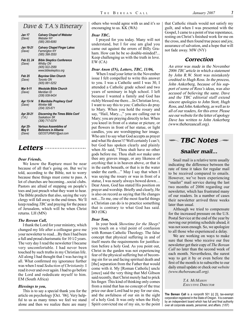### Dave & T.A.'s Itinerary

| Jan 17<br>(Dave)           | <b>Calvary Chapel of Webster</b><br><b>Webster NY</b><br>(585) 265-6080                         |
|----------------------------|-------------------------------------------------------------------------------------------------|
| Jan 18-21<br>(Dave)        | <b>Calvary Chapel Finger Lakes</b><br><b>Farmington NY</b><br>(585) 398-3550                    |
| Feb 23, 24<br>(Dave)       | <b>Bible Skeptics Conference</b><br><b>Whitby ON</b><br>(905) 922-2589<br>www.bibleskeptics.org |
| Feb 25<br>(Dave)           | <b>Bayview Glen Church</b><br>Toronto ON<br>(905) 881-5252                                      |
| Mar 9-11<br>(Dave)         | Westside Bible Church<br>Meridian ID<br>(208) 938-9424                                          |
| Apr 13-14<br>(Dave)        | S Manitoba Prophecy Conf<br>Winkler MB<br>(204) 325-671                                         |
| Apr 20-21<br>(T.A.)        | Discerning the Times Bible Conf<br>Saskatoon SK<br>(306) 717-0374                               |
| Apr 25-<br>May 9<br>(Dave) | <b>Various Assemblies of</b><br><b>Believers in Albania</b><br>GEOSTURM01@aol.com               |

#### **Letters**

#### *Dear Friends,*

We know the Rapture must be near because of all that's going on. But we're told, according to the Bible, not to worry because these things must come to pass. A lot of churches are becoming...social clubs. Pastors are afraid of stepping on people's toes and just preach what they want to hear. The Bible predicts that also, saying the very clergy will fall away in the end times. We'll keep reading *TBC* and praying for the peace of Jerusalem, which will be when Christ returns. LH (MN)

#### *The Berean Call,*

I thank the Lord for your ministry, which changed my life after a colleague gave me your newsletter to read....By then I had been a full and proud charismatic for 10 1⁄2 years. The very day I read the newsletter I became very uncomfortable. I had never been touched by such truths in my Christian life. All along I had thought that I was having it all. What confirmed my ignorance further was when I read *Seduction of Christianity.* I read it over and over again. I had to go before the Lord and rededicate myself to him. EM (South Africa)

#### *Blessings to you,*

This is to say a special thank you for the article on psychology [Oct. '06]. Very helpful to us as many times we feel we stand alone and then we realize there are many others who would agree with us and it's so encouraging to us. KK (WA)

#### *Dear TBC,*

I prayed for you today. Many will not understand, but I for one am glad you came out against the errors of Billy Graham. How can he be so double-minded?... Keep challenging us with the truth in love. EW (CA)

#### *Dear Anon (IN), Letters, TBC, 11/06,*

When I read your letter in the November issue I felt compelled to write this answer to you. I was a Catholic until I was 30, I attended a Catholic grade school and two years of seminary in high school. I left because I wanted a family and God has richly blessed me there....In Christian love, I want to say this to you: Catholics do pray to Mary. When you hold the rosary and say, "Hail, Mary...," you are calling out to Mary; you are praying directly to her. When you kneel in front of a statue or picture, or put flowers in front of her statue, or light candles, you are worshipping her image. Who am I to say what God accepts as prayer and what He doesn't? Well certainly I can't; but God has spoken clearly and plainly when *He* said, "Thou shalt have no other gods before me. Thou shalt *not* make unto thee any graven image, or any likeness of *anything* that is in heaven above, or that is in the earth beneath, or that is in the water under the earth...." May I say that when I was saying the rosary or was in front of a statue, I was nearly always bowed down.... Dear Anon, God has stated His position on prayer and worship. Briefly and clearly, He is also on record as saying that He changes not....To me, one of the most fearful things a Christian can do is to practice something that is contrary to what God has said. BO (OK)

#### *Dear Tom,*

In your book *Showtime for the Sheep?* you touch on a vital point of confusion with Roman Catholic Theology. The false concept that physical suffering in and of itself meets the requirements for justification before a holy God. As you point out, Christ in the garden was not experiencing fear of the physical suffering but of becoming sin for us and facing spiritual death and [the] separation from the Father that would come with it. My [Roman Catholic] uncle [once] said the very thing that Mel Gibson said recently, that Christ merely had to prick his finger. This kind of thinking only comes from a mind that has no concept of the true price our dear Lord had to pay for our sins, and the awfulness of our sin in the sight of a holy God. It was only when the Holy Spirit convicted me of my sin, to the point that Catholic rituals would not satisfy my guilt, and when I was presented with the Gospel, I came to a point of true repentance, resting on Christ's finished work for me on the cross, and then found true peace and joy, assurance of salvation, and a hope that will not fade away. MW (NY)

#### **Correction**

An error was made in the November 2006 *TBC* article in which a statement by John R.W. Stott was mistakenly credited to Hugh Ross. In the process, John Ankerberg, because of his support of some of Ross's ideas, was also accused of believing the same. Dave and the TBC editorial staff extend sincere apologies to John Stott, Hugh Ross, and John Ankerberg, as well as to all of our readers, for this error. Please see our website for the letter of apology Dave has written to John Ankerberg (www.thebereancall.org).

## **TBC Notes**

#### **Snailer mail...**

Snail mail is a relative term usually indicating the difference between the rate of time it takes for regular mail to be received compared to emails. However, we've been experiencing "snailer" mail service during the last two months of 2006 regarding our newsletter, which has frustrated many of our readers. In a number of cases their newsletter arrived three weeks later than usual.

Although we tried to compensate for the increased pressure on the U.S. Postal Service at the end of the year by moving our printing schedule ahead, it was not soon enough. So, we apologize to all those who experienced a delay.

We are working on ways to make sure that those who receive our free newsletter get their copy of *The Berean Call* no later than the second week of each month. Nevertheless, the surest way to get it by or even before the first of the month is to subscribe to our daily email update or check our *website (www.thebereancall.org).*

> *T.A. MCMAHON EXECUTIVE DIRECTOR*

**The Berean Call** is a nonprofit 501 [c] [3], tax-exempt corporation registered in the State of Oregon. It is overseen by an independent board which has full and final authority over all corporate assets, personnel, and affairs. (1/07)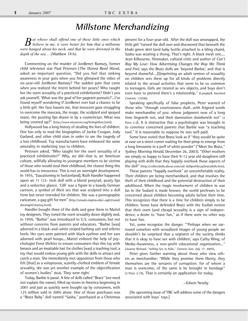## **Millstone Merchandizing**

*But whoso shall offend one of these little ones which believe in me, it were better for him that a millstone were hanged about his neck, and that he were drowned in the depth of the sea....* (Matthew 18:6).

Commenting on the murder of JonBenet Ramsey, former child television star Paul Petersen (The Donna Reed Show), asked an important question, "Did you feel that sinking awareness in your guts when you first glimpsed the video of six-year-old JonBenet Ramsey? The sudden pain that came when you realized the intent behind her poses? Who taught her the overt sexuality of a practiced exhibitionist? Didn't you ask yourself, 'What was the goal of her pageant pursuits?'...I've found myself wondering if JonBenet ever had a chance to be a little girl. Her face haunts me, that innocent gaze struggling to overcome the mascara, the rouge, the sculpted and sprayed mane, the pouting lips drawn in by a cosmetician. What was being covered up?" (http://www.minorcon.org/littlegirllost.html).

Hollywood has a long history of stealing the lives of children. One has only to read the biographies of Jackie Coogan, Judy Garland, and other child stars in order to see the tragedy of a lost childhood. Toy manufacturers have embraced the same amorality in marketing toys to children.

Petersen asked, "Who taught her the overt sexuality of a practiced exhibitionist?" Why, we did—that is, an American culture, willfully allowing its youngest members to be victims of those who would steal their childhood, the closest thing this world has to innocence. This is not an overnight development. In 1955, "[vacationing in Switzerland], Ruth Handler happened upon an 11 1/2- inch doll with a blond ponytail, pouty lips and a seductive glance. 'Lilli' was a figure in a bawdy German cartoon, a symbol of illicit sex that was sculpted into a doll form but never intended for children. She was a pornographic caricature, a gag gift for men" (http://xroads.virginia.edu/~ug02/sund/ dreamgirl/chartoy.html).

Handler bought three of the dolls and gave them to Mattel toy designers. They toned the overt sexuality down slightly and, in 1959, "Barbie" was introduced to U.S. consumers, but not without concerns from parents and educators. "Barbie [was] adorned in a black-and-white striped bathing suit and stiletto heels. Her eyes were painted with black eyeliner and her ears adorned with pearl hoops....Mattel enlisted the help of psychologist Ernst Dichter to ensure consumers that this toy with breasts and an insatiable lust for clothes [was] a teaching tool, a toy that would endow young girls with the skills to attract and catch a man. She immediately met opposition from those who felt [that] as a voluptuous, scantily-clothed emblem of female sexuality, she was yet another example of the objectification of women's bodies" (Ibid). They were right.

Today, Barbie is passé. A line of dolls called "Bratz" (we need not explain the name), filled up stores in America beginning in 2001 and just as quickly were bought up by consumers, with 125 million sold in 2005 alone. One of those purchases was a "Bratz Baby" doll named "Sasha," purchased as a Christmas present for a four-year-old. After the doll was unwrapped, the little girl "turned the doll over and discovered that beneath the khaki green skirt (and baby bottle attached to a bling chain), Sasha was wearing a thong. That's right. A black mesh one.... Jean Kilbourne, filmmaker, cultural critic and author of Can't Buy My Love: How Advertising Changes the Way We Think and Feel, says the Bratz dolls are 'beyond Barbie,' and that is beyond shameful....[I]mprinting an adult version of sexuality on children sets them up for all kinds of problems directly related to the sexual activities that seem to be so common to teenagers. Girls are treated as sex objects, and boys don't even have to pretend there's a relationship." (Campbell, Hartford Courant, 1/4/06).

Speaking specifically of false prophets, Peter warned of those who "through covetousness shall...with feigned words make merchandise of you: whose judgment now of a long time lingereth not, and their damnation slumbereth not" (2 Peter 2:3). It is instructive that a psychologist was brought in to convince concerned parents that Barbie was "a teaching tool." It is reasonable to suppose he was well paid.

Some have noted that Bratz look as if "they would be quite at ease on a street corner waiting for their pimp to emerge from a long limousine in a puff of white powder" ("Meet the Bratz," Sydney Morning Herald, December 26, 2003). "Other mothers are simply so happy to have their 9-12 year old daughters still playing with dolls that they happily overlook those aspects of the doll" (http://collectdolls.about.com/od/ dollprofiles/p/bratzdolls.htm).

These parents "happily overlook" an uncomfortable reality. Their children are being merchandised, and that involves the theft of their childhood and the potential destruction of their adulthood. When the tragic involvement of children in war (as in the Sudan) is made known, the world professes to be concerned about children becoming adults before their time. This recognizes that there is a time for children simply to be children. Some have defended Bratz with the foolish notion that their overt (and cheap) sexuality is a sign of independence, a desire to "have fun," as if there were no other way to have fun.

Yet, some recognize the danger. "'Perhaps when we surround ourselves with sexualized images of young people we shouldn't be surprised that a segment of the society thinks that it is okay to have sex with children,' says Cathy Wing, of Media-Awareness, a non-profit educational organization..." (Joanne Richard, "Selling Sex to Kids," Toronto Sun, July 17, 2005).

Peter gives further warning about those who view others as merchandise: "While they promise them liberty, they themselves are the servants of corruption: for of whom a man is overcome, of the same is he brought in bondage" (2 Peter 2:19). That is certainly an application for today.

#### —Edwin Newby

[An upcoming issue of TBC will address some of the dangers associated with boys' toys.]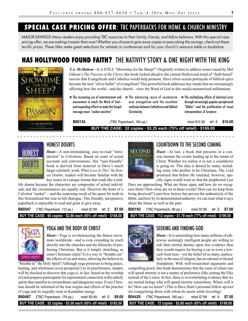## **SPECIAL CASE PRICING OFFER**: TBC PAPERBACKS FOR HOME & CHURCH MINISTRY

*MAJOR SAVINGS! Many readers enjoy providing TBC resources to their family, friends, and fellow believers. With this special case pricing offer, we are making it easier than ever! Whether you choose to give away copies or pass along the savings, check out these terrific prices. These titles make great selections for retreats or conferences and for your church's resource table or bookstore.* 

## **HAS HOLLYWOOD FOUND FAITH?** THE NATIVITY STORY & ONE NIGHT WITH THE KING



*T.A. McMahon—*Is it STILL "Showtime for the Sheep?" Originally written to address issues raised by Mel Gibson's *The Passion of the Christ*, this book looked ahead to the current Hollywood trend of "faith-based" movies that Evangelicals and Catholics would help promote. Have silver-screen portrayals of biblical epics become the new "silver bullet" of evangelism? This powerful book addresses key trends that are increasingly affecting how the world—and the church—view the Word of God in this media-mesmerized millennium:

- ❖ The increasing use of entertainment and amusement to teach the Word of God and expanding efforts to make the Gospel message more "seeker-sensitive"
- ❖ The advancing cause of ecumenism over evangelism—and the resultant confusion between Catholicism and biblical **Christianity**
- ❖ The multiplying effects of doctrinal error through increasingly popular paraphrased "Bibles"—and the proliferation of visual interpretations of Scripture

**B60134** (TBC Paperback, 160 pp.) retail \$12.99wt .4 **\$10.00**

**BUY THE CASE: 52 copies • \$3.25 each (75% off retail) • \$169.00**



## HONEST DOUBTS

*Hunt—*A non-intimidating, easy-to-read "introduction" to Calvinism. Based on years of actual accounts and conversations, this "user-friendly" book is derived from material in Dave's much larger scholarly work, *What Love Is This?* In *Honest Doubts,* readers will become familiar with the key issues in a unique format that reads like a real-

life drama because the characters are composites of actual individuals and the circumstances are equally real. Discover the heart of a Calvinist "seeker"—and the surprising result of his quest for truth in this fictionalized but true-to-life dialogue. This friendly, inexpensive paperback is enjoyable to read and great to give away.

**B60347** (TBC Paperback, 112 pp.) retail \$7.99wt .3 **\$7.00 BUY THE CASE: 60 copies • \$2.80 each (65% off retail) • \$168.00**



## YOGA AND THE BODY OF CHRIST

*Hunt—*Yoga is revolutionizing the fitness movement worldwide—and is even extending its reach directly into the churches and the lifestyles of professing Christians. But is it simply stretching, as some Christians claim? Is it a way to "breathe out" the effects of sin and stress, allowing the believer to

"breathe in" the Holy Spirit? Although yoga promises to bring peace, healing, and wholeness (even prosperity!) to its practitioners, readers will be shocked to discover that yoga is, in fact, based on the worship of (and prepares participants for supernatural connection with) unholy spirits that manifest in extraordinary and dangerous ways. Every Christian should be informed of the true origins and effects of the practice of yoga and its ungodly roots in Kundalini energy.

**B60487 (**TBC Paperback, 176 pp.) retail \$9.99wt .5 **\$9.00**

**BUY THE CASE: 52 copies • \$3.50 each (65% off retail) • \$182.00**



## COUNTDOWN TO THE SECOND COMING

*Hunt*—At last, a book that presents in a concise manner the events leading up to the return of Christ. Whether we realize it or not, a countdown is going on. This idea is denied by many, including some who profess to be Christians. The Lord promised that before He returned, however, specific signs would warn us that the prophesied Last

Days are approaching. What are those signs, and how do we recognize them? How close are we to these events? How can we keep from being deceived? Learn how history has proven the authenticity of the Bible, and how by its demonstrated authority, we can trust what it says about the future as well as the past.

| B00193 | (TBC Paperback, 96 pp.)                                                        | retail \$7.99 | wt.3 \$7.00 |  |
|--------|--------------------------------------------------------------------------------|---------------|-------------|--|
|        | BUY THE CASE: 112 copies $\cdot$ \$1.78 each (77% off retail) $\cdot$ \$199.00 |               |             |  |



## SEEKING AND FINDING GOD

*Hunt—*It is astonishing how many millions of otherwise seemingly intelligent people are willing to risk their eternal destiny upon less evidence than they would require for buying a car or even a lowcarb food item—yet the belief of so many, particularly in the area of religion, has no rational or factual foundation. With well-researched arguments and

compelling proof, this book demonstrates that the issue of where one will spend eternity is not a matter of preference (like joining the Elks) instead of the Lions). In fact, there is overwhelming evidence that we are eternal beings who will spend eternity somewhere. Where will it be? How can we know? (This is Dave Hunt's personal follow-up tool for evangelizing those with whom he meets while traveling). **B04425** (TBC Paperback, 160 pp.) retail \$7.99wt .4 **\$7.00**

**BUY THE CASE: 72 copies • \$2.80 each (65% off retail) • \$199.00**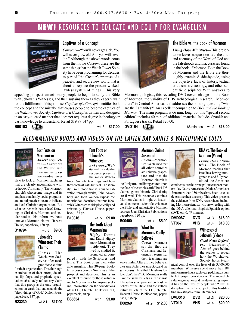## **NEW!** RESOURCES TO EDUCATE AND EQUIP FOR EVANGELISM



## Captives of a Concept

*Cameron—*"You'll never get sick. You will never grow old. And you will never die." Although the above words come from the movie *Cocoon*, these are the same things that the Watch Tower Society have been proclaiming for decades as part of "the Creator's promise of a peaceful and secure new world that is about to replace the present wicked, lawless system of things." This very

appealing prospect attracts many people to begin to study the Bible with Jehovah's Witnesses, and then sustains them as they eagerly wait for the fulfillment of this promise. *Captives of a Concept* identifies both the concept and the mistake that causes people to become captives of the Watchtower Society. *Captives of a Concept* is written and designed in an easy-to-read manner that does not require a degree in theology or vast knowledge to understand. Retail \$19.99 147 pp.



#### The Bible vs. the Book of Mormon

*Living Hope Ministries—*This presentation leaves no question as to the truth and accuracy of the Word of God and the falsehoods and inaccuracies found in the book of Mormon. Both the Book of Mormon and the Bible are thoroughly examined side-by-side, using the objective facts of history, textual criticism, archaeology, and other scientific disciplines.With answers to

Mormon apologists, this revealing DVD covers changes in the Book of Mormon, the validity of LDS archaeological research, "Mormon tours" in Central America, and addresses the burning question, "who are the Lamanites?" An excellent companion to *DNA and the Book of Mormon*. The main program is 66 min. long, but this "special second edition" includes 40 min. of additional material. Includes Spanish and Portuguese tracks. Retail \$20.00.

**B00103 WEW!** wt.3 \$17.00 DVD154 **WEW!** 

**DVD154 CHTD** 66 minutes wt.2 \$18.00

## RECOMMENDED BOOKS AND VIDEOS ON THE LATTER-DAY SAINTS & WATCHTOWER CULTS



Mormonism *Ankerberg/Weldon*—Ankerberg and Weldon use their unique question–and–answer

Fast Facts on

style to look at Mormon teachings that are clearly incompatible with orthodox Christianity. The Mormon church's wholesome image and its emphasis on family, social programs, and moral practices seem to indicate an ideal Christian organization. But what lies beneath the surface? Drawing on Christian, Mormon, and secular studies, this informative book unravels Mormon claims. Harvest House, paperback, 180 pp.



# Witnesses: Their

Watchtower Society has often made grandiose claims

for their organization. This thorough examination of their errors, doctrinal flip-flops, and prophetic speculations absolutely refutes any claim that this group is the only organization on earth that understands the "deep things of God." Xulon Press, paperback, 357 pp.

**B23230** wt 2.1 **\$17.00**



*Ankerberg/Weldon*—This valuable resource presents the major Watch-

tower Society teachings and how they contrast with biblical Christianity. From blood transfusions to salvation through works, John Ankerberg and John Weldon expose the unorthodox doctrines that put Jehovah's Witnesses at risk physically and spiritually. Harvest House, paperback, 185 pp.

## Mormonism

*Higley*—Dennis

pared it with the Scriptures, and left it. This book offers their valuable insights. This 30-page booklet exposes Joseph Smith as a false prophet and deceiver. This is an excellent resource for those witnessing to Mormons or for anyone seeking information on the foundations of the LDS Church. The Berean Call, paperback, 30 pp.

**B65654** wt .1 **\$3.00**



Answered *Cowan*—Mormonism has claimed that all other churches

Mormon Claims

are universally apostate and that the Mormon church is the "only true and living church upon the face of the whole earth," but LDS claims against historic Christianity

are flawed. This resource examines Mormon claims in light of historical documents, scientific evidence, the Bible, and authoritative Mormon sources. Utah Christian Publications, paperback, 120 pp.

## What Do Mormons Really Believe?

*Cowan*—Mormons say that they are Christians, and frequently it seems that their teachings are

very similar. After all, they believe in the same Bible, the same God, and the same Jesus Christ that Christians follow, don't they? Do Mormons really have the same beliefs as Christians? The authors compare and contrast the beliefs of the Bible and the authoritative beliefs of the LDS church.. Harvest House Publications, paperback, 336 pp. **B08269** wt .9 **\$12.00**

#### DNA vs. The Book of Mormon (Video)

*Living Hope Ministries*—The Book of Mormon teaches that Israelites, having immigrated to and fully populated the American

continents, are the principal ancestors of modern-day Native Americans. Native Americans from more than 150 tribes have been tested to determine their ancestry. This video presents the evidence from DNA researchers, including Mormon scientists who are wrestling with the DNA dilemma. English/Spanish option (DVD only). 49 minutes.

| <b>DVD067</b> | DVD | wt 3 | \$18.00 |
|---------------|-----|------|---------|
| VT067         | VHS | wt 4 | \$18.00 |

#### Witnesses of Jehovah (Video)

*Good News Defenders—Witnesses of Jehovah* goes behind the scenes to reveal how the Watchtower Society holds tyran-

nical control over the lives of its 3,400,000 members. Witnesses spend more than 184 million man-hours each year peddling a counterfeit gospel door-to-door. The incredible sales organization and the devastating impact it has on the lives of people who "buy" its deceptive line is the subject of this hard-hitting investigative film. 58 minutes.

| <b>DVD010</b> | <b>DVD</b> | wt 3  | \$20.00 |
|---------------|------------|-------|---------|
| VT010         | VHS        | wt .4 | \$20.00 |



 $Gruss$  – The

**B10816** wt .5 **\$9.00** The Truth About

and Rauni Higley know Mormonism inside out. They lived it, studied it, promoted it, com-

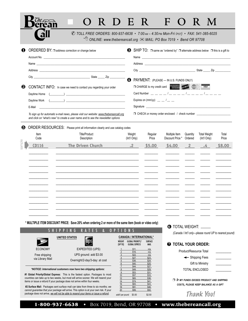# **O R D E R F O R M**

✆ *TOLL FREE ORDERS: 800-937-6638 • 7:00 AM – 4:30 PM Mon-Fri (PST) • FAX: 541-385-6025*

| $\sqrt{\overline{C}}$ ONLINE: www.thebereancall.org $\approx$ MAIL: PO Box 7019 • Bend OR 97708 |  |  |
|-------------------------------------------------------------------------------------------------|--|--|
|-------------------------------------------------------------------------------------------------|--|--|

| $\boldsymbol{\Omega}$<br>PAYMENT: (PLEASE - IN U.S. FUNDS ONLY)<br>O CHARGE to my credit card <b>All the company of the company of the company of the company of the company of the company</b><br>❷<br>CONTACT INFO: In case we need to contact you regarding your order<br>$\begin{picture}(150,10) \put(0,0){\vector(1,0){100}} \put(15,0){\vector(1,0){100}} \put(15,0){\vector(1,0){100}} \put(15,0){\vector(1,0){100}} \put(15,0){\vector(1,0){100}} \put(15,0){\vector(1,0){100}} \put(15,0){\vector(1,0){100}} \put(15,0){\vector(1,0){100}} \put(15,0){\vector(1,0){100}} \put(15,0){\vector(1,0){100}} \put(15,0){\vector(1,0){100}}$<br>Daytime Home<br>Expires on $(mm/yy)$ _ _ $/$ _ _<br>Daytime Work (Change and Change and Change and Change and Change and Change and Change and Change and Change and Change and Change and Change and Change and Change and Change and Change and Change and Change and Change and<br>Signature experience and the state of the state of the state of the state of the state of the state of the state of the state of the state of the state of the state of the state of the state of the state of the state of th<br>E-Mail |                |
|-----------------------------------------------------------------------------------------------------------------------------------------------------------------------------------------------------------------------------------------------------------------------------------------------------------------------------------------------------------------------------------------------------------------------------------------------------------------------------------------------------------------------------------------------------------------------------------------------------------------------------------------------------------------------------------------------------------------------------------------------------------------------------------------------------------------------------------------------------------------------------------------------------------------------------------------------------------------------------------------------------------------------------------------------------------------------------------------------------------------------------------------------------------------------------------|----------------|
|                                                                                                                                                                                                                                                                                                                                                                                                                                                                                                                                                                                                                                                                                                                                                                                                                                                                                                                                                                                                                                                                                                                                                                                   |                |
|                                                                                                                                                                                                                                                                                                                                                                                                                                                                                                                                                                                                                                                                                                                                                                                                                                                                                                                                                                                                                                                                                                                                                                                   |                |
|                                                                                                                                                                                                                                                                                                                                                                                                                                                                                                                                                                                                                                                                                                                                                                                                                                                                                                                                                                                                                                                                                                                                                                                   |                |
|                                                                                                                                                                                                                                                                                                                                                                                                                                                                                                                                                                                                                                                                                                                                                                                                                                                                                                                                                                                                                                                                                                                                                                                   |                |
|                                                                                                                                                                                                                                                                                                                                                                                                                                                                                                                                                                                                                                                                                                                                                                                                                                                                                                                                                                                                                                                                                                                                                                                   |                |
|                                                                                                                                                                                                                                                                                                                                                                                                                                                                                                                                                                                                                                                                                                                                                                                                                                                                                                                                                                                                                                                                                                                                                                                   |                |
| □ CHECK or money order enclosed / check number _________________________________<br>To sign up for automatic e-mail news, please visit our website: www.thebereancall.org<br>and click on "what's new" to create a user name and to see the newsletter options                                                                                                                                                                                                                                                                                                                                                                                                                                                                                                                                                                                                                                                                                                                                                                                                                                                                                                                    |                |
| ORDER RESOURCES: Please print all information clearly and use catalog codes<br>6                                                                                                                                                                                                                                                                                                                                                                                                                                                                                                                                                                                                                                                                                                                                                                                                                                                                                                                                                                                                                                                                                                  |                |
| <b>Title/Product</b><br>Weight<br>Regular<br>Multiple Item<br><b>Total Weight</b><br>Item<br>Quantity<br>Discount Price *<br>Code<br>Description<br>(Int'l Only)<br>Price<br>Ordered<br>(Int'l Only)                                                                                                                                                                                                                                                                                                                                                                                                                                                                                                                                                                                                                                                                                                                                                                                                                                                                                                                                                                              | Total<br>Price |
| sample<br><b>The Driven Church</b><br><b>CD116</b><br>$\cdot$ <sup>2</sup><br>\$5.00<br>\$4.00<br>$\overline{2}$<br>.4                                                                                                                                                                                                                                                                                                                                                                                                                                                                                                                                                                                                                                                                                                                                                                                                                                                                                                                                                                                                                                                            | \$8.00         |
|                                                                                                                                                                                                                                                                                                                                                                                                                                                                                                                                                                                                                                                                                                                                                                                                                                                                                                                                                                                                                                                                                                                                                                                   |                |
|                                                                                                                                                                                                                                                                                                                                                                                                                                                                                                                                                                                                                                                                                                                                                                                                                                                                                                                                                                                                                                                                                                                                                                                   |                |
|                                                                                                                                                                                                                                                                                                                                                                                                                                                                                                                                                                                                                                                                                                                                                                                                                                                                                                                                                                                                                                                                                                                                                                                   |                |
|                                                                                                                                                                                                                                                                                                                                                                                                                                                                                                                                                                                                                                                                                                                                                                                                                                                                                                                                                                                                                                                                                                                                                                                   |                |
|                                                                                                                                                                                                                                                                                                                                                                                                                                                                                                                                                                                                                                                                                                                                                                                                                                                                                                                                                                                                                                                                                                                                                                                   |                |
|                                                                                                                                                                                                                                                                                                                                                                                                                                                                                                                                                                                                                                                                                                                                                                                                                                                                                                                                                                                                                                                                                                                                                                                   |                |

 $\frac{1}{2}$  ,  $\frac{1}{2}$  ,  $\frac{1}{2}$  ,  $\frac{1}{2}$  ,  $\frac{1}{2}$  ,  $\frac{1}{2}$  ,  $\frac{1}{2}$  ,  $\frac{1}{2}$  ,  $\frac{1}{2}$  ,  $\frac{1}{2}$  ,  $\frac{1}{2}$  ,  $\frac{1}{2}$  ,  $\frac{1}{2}$  ,  $\frac{1}{2}$  ,  $\frac{1}{2}$  ,  $\frac{1}{2}$  ,  $\frac{1}{2}$  ,  $\frac{1}{2}$  ,  $\frac{1$ 

**\* MULTIPLE ITEM DISCOUNT PRICE: Save 20% when ordering 2 or more of the same item (book or video only)**

#### S H I P P I N G R A T F S & O P

|                                   | <b>UNITED STATES</b>                                     |
|-----------------------------------|----------------------------------------------------------|
| <b>ECONOMY</b>                    | EXPEDITED (UPS)                                          |
| Free shipping<br>via Library Mail | UPS ground: add \$3.00<br>Overnight/2-day/3-day: at cost |

*\*NOTICE: International customers now have two shipping options:* 

m

**#1 Global Priority/Global Express:** This is the fastest option. Packages to most countries can take up to two weeks, but most will arrive sooner. We will resend your items or issue a refund if your package does not arrive within four weeks.

 **#2 Surface Mail:** Packages sent surface mail can take from three to six months; *we cannot guarantee that your package will arrive*. This option is at your own risk. If your package does not arrive, *we will not be able to resend your items or issue a refund*.

|                             | <b>CANADA / INTERNATIONAL*</b> |                |
|-----------------------------|--------------------------------|----------------|
| WEIGHT                      | GLOBAL PRIORITY/               | <b>SURFACE</b> |
| (UP TO)                     | <b>GLOBAL EXPRESS</b>          | <b>MAIL</b>    |
| 1                           | \$11.                          | n/a            |
|                             | \$16.                          | n/a            |
|                             |                                |                |
|                             | \$22.                          | n/a            |
|                             | \$27.                          | \$23.          |
| $\frac{2}{3}$ $\frac{4}{5}$ | \$36.                          | \$24.          |
| 6                           | \$40.                          | \$25.          |
| $\overline{1}$              | \$44.                          | \$27.          |
| $\frac{8}{2}$               | \$49.                          | \$29.          |
| $\overline{9}$              | \$53.                          | \$31.          |
| 10                          | \$57.                          | \$33.          |
| 12                          | \$65.                          | \$36.          |
| 14                          | \$74.                          | \$41.          |
| 16                          | \$83.                          | \$43.          |
| 18                          | \$91.                          | \$46.          |
| 20                          | \$99.                          | \$50.          |
| addt'l per pound            | \$3.00                         | \$2.50         |

**6** TOTAL WEIGHT:

*(Canada / Int'l only—please round UP to nearest pound)*

#### **7 TOTAL YOUR ORDER:**

| Product/Resource Total |  |
|------------------------|--|
| ← Shipping Fees        |  |
| Gift to Ministry       |  |
| <b>TOTAL ENCLOSED</b>  |  |
|                        |  |
|                        |  |

❒ *IF MY FUNDS EXCEED PRODUCT AND SHIPPING COSTS, PLEASE KEEP BALANCE AS A GIFT*



1-800-937-6638 • Box 7019, Bend, OR 97708 • **www.thebereancall.org**